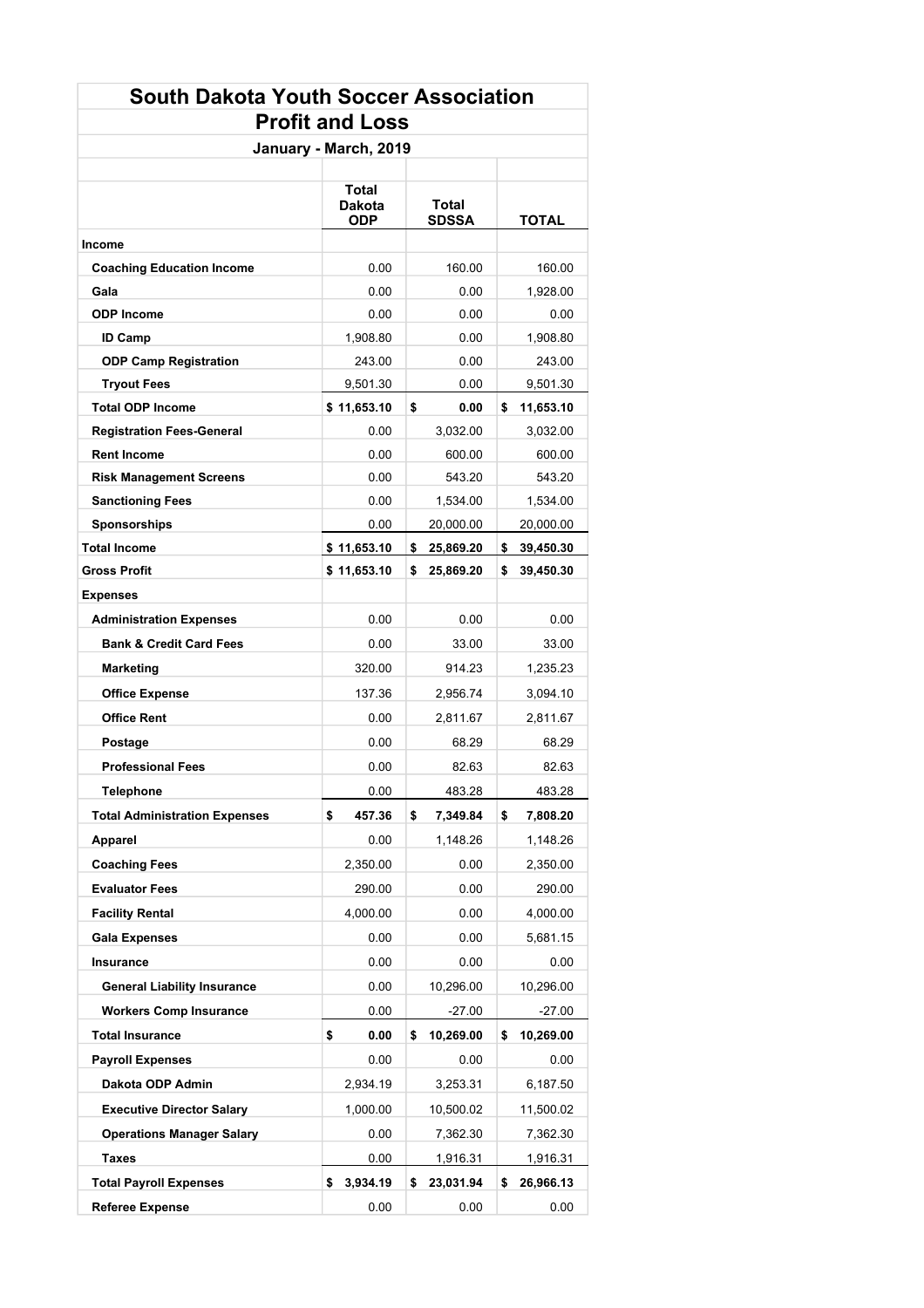## **South Dakota Youth Soccer Association Profit and Loss**

| January - March, 2019                |                        |                       |                 |  |
|--------------------------------------|------------------------|-----------------------|-----------------|--|
|                                      | Total<br>Dakota<br>ODP | Total<br><b>SDSSA</b> | TOTAL           |  |
| Income                               |                        |                       |                 |  |
| <b>Coaching Education Income</b>     | 0.00                   | 160.00                | 160.00          |  |
| Gala                                 | 0.00                   | 0.00                  | 1,928.00        |  |
| <b>ODP Income</b>                    | 0.00                   | 0.00                  | 0.00            |  |
| <b>ID Camp</b>                       | 1,908.80               | 0.00                  | 1,908.80        |  |
| <b>ODP Camp Registration</b>         | 243.00                 | 0.00                  | 243.00          |  |
| <b>Tryout Fees</b>                   | 9,501.30               | 0.00                  | 9,501.30        |  |
| <b>Total ODP Income</b>              | \$11,653.10            | \$<br>0.00            | 11,653.10<br>\$ |  |
| <b>Registration Fees-General</b>     | 0.00                   | 3,032.00              | 3,032.00        |  |
| <b>Rent Income</b>                   | 0.00                   | 600.00                | 600.00          |  |
| <b>Risk Management Screens</b>       | 0.00                   | 543.20                | 543.20          |  |
| <b>Sanctioning Fees</b>              | 0.00                   | 1,534.00              | 1,534.00        |  |
| Sponsorships                         | 0.00                   | 20,000.00             | 20,000.00       |  |
| Total Income                         | \$11,653.10            | 25,869.20<br>s        | 39,450.30<br>\$ |  |
| Gross Profit                         | \$11,653.10            | \$<br>25,869.20       | \$<br>39,450.30 |  |
| Expenses                             |                        |                       |                 |  |
| <b>Administration Expenses</b>       | 0.00                   | 0.00                  | 0.00            |  |
| <b>Bank &amp; Credit Card Fees</b>   | 0.00                   | 33.00                 | 33.00           |  |
| <b>Marketing</b>                     | 320.00                 | 914.23                | 1,235.23        |  |
| <b>Office Expense</b>                | 137.36                 | 2,956.74              | 3,094.10        |  |
| <b>Office Rent</b>                   | 0.00                   | 2,811.67              | 2,811.67        |  |
| Postage                              | 0.00                   | 68.29                 | 68.29           |  |
| <b>Professional Fees</b>             | 0.00                   | 82.63                 | 82.63           |  |
| <b>Telephone</b>                     | 0.00                   | 483.28                | 483.28          |  |
| <b>Total Administration Expenses</b> | \$<br>457.36           | \$<br>7,349.84        | \$<br>7,808.20  |  |
| Apparel                              | 0.00                   | 1,148.26              | 1,148.26        |  |
| <b>Coaching Fees</b>                 | 2,350.00               | 0.00                  | 2,350.00        |  |
| <b>Evaluator Fees</b>                | 290.00                 | 0.00                  | 290.00          |  |
| <b>Facility Rental</b>               | 4,000.00               | 0.00                  | 4,000.00        |  |
| <b>Gala Expenses</b>                 | 0.00                   | 0.00                  | 5,681.15        |  |
| Insurance                            | 0.00                   | 0.00                  | 0.00            |  |
| <b>General Liability Insurance</b>   | 0.00                   | 10,296.00             | 10,296.00       |  |
| <b>Workers Comp Insurance</b>        | 0.00                   | $-27.00$              | $-27.00$        |  |
| <b>Total Insurance</b>               | \$<br>0.00             | 10,269.00<br>\$       | \$<br>10,269.00 |  |
| <b>Payroll Expenses</b>              | 0.00                   | 0.00                  | 0.00            |  |
|                                      | 2,934.19               | 3,253.31              |                 |  |
| Dakota ODP Admin                     |                        |                       | 6,187.50        |  |
| <b>Executive Director Salary</b>     | 1,000.00               | 10,500.02             | 11,500.02       |  |
| <b>Operations Manager Salary</b>     | 0.00                   | 7,362.30              | 7,362.30        |  |
| Taxes                                | 0.00                   | 1,916.31              | 1,916.31        |  |
| <b>Total Payroll Expenses</b>        | 3,934.19<br>\$         | \$<br>23,031.94       | 26,966.13<br>\$ |  |
| <b>Referee Expense</b>               | 0.00                   | 0.00                  | 0.00            |  |